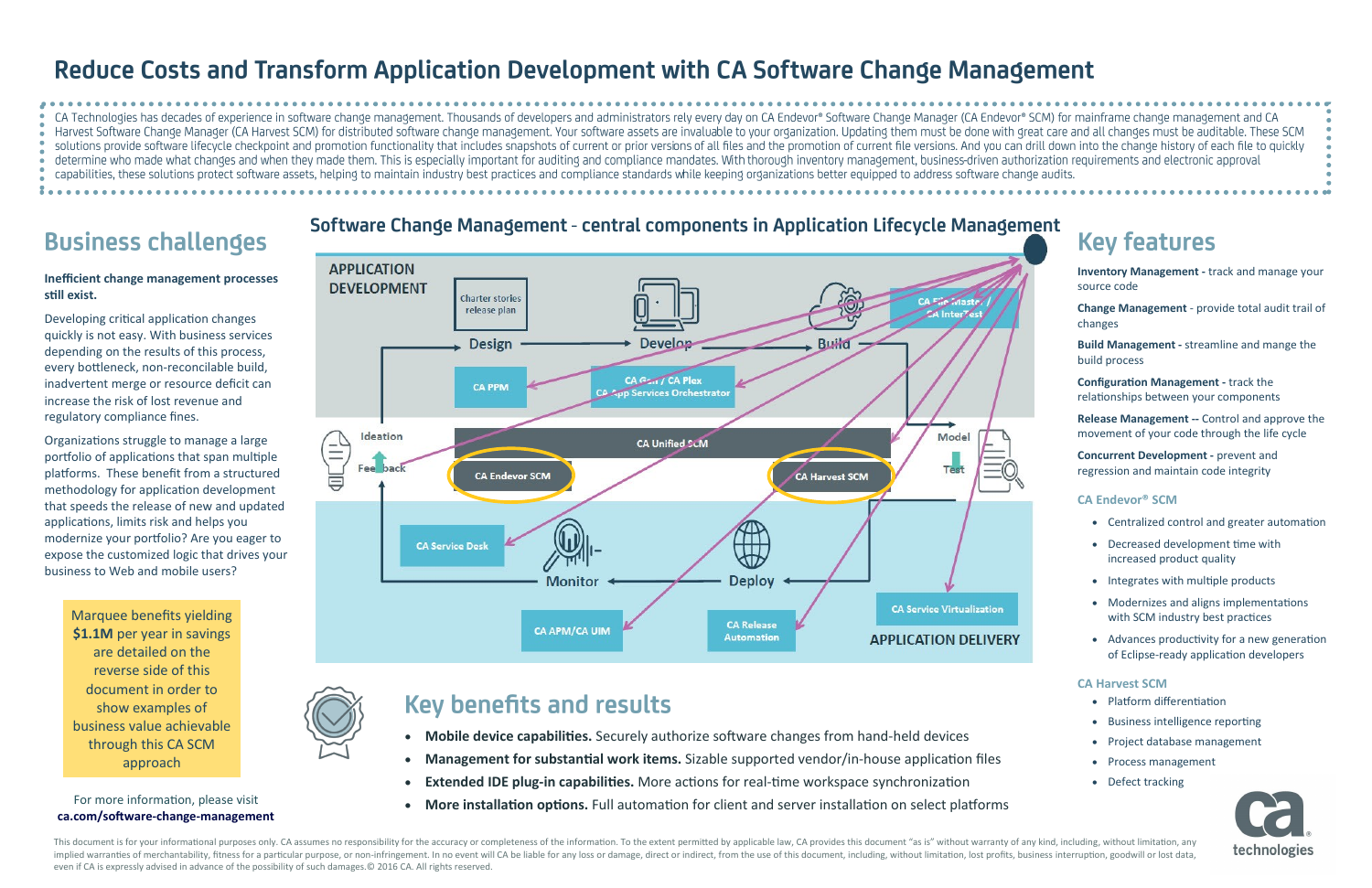# Reduce Costs and Transform Application Development with CA Software Change Management

CA Technologies has decades of experience in software change management. Thousands of developers and administrators rely every day on CA Endevor® Software Change Manager (CA Endevor® SCM) for mainframe change management an Harvest Software Change Manager (CA Harvest SCM) for distributed software change management. Your software assets are invaluable to your organization. Updating them must be done with great care and all changes must be audi solutions provide software lifecycle checkpoint and promotion functionality that includes snapshots of current or prior versions of all files and the promotion of current file versions. And you can drill down into the chan determine who made what changes and when they made them. This is especially important for auditing and compliance mandates. With thorough inventory management, business-driven authorization requirements and electronic appr capabilities, these solutions protect software assets, helping to maintain industry best practices and compliance standards while keeping organizations better equipped to address software change audits.

# **Business challenges**

- **Mobile device capabilities.** Securely authorize software changes from hand-held devices
- **Management for substantial work items.** Sizable supported vendor/in-house application files
- **Extended IDE plug-in capabilities.** More actions for real-time workspace synchronization
- **More installation options.** Full automation for client and server installation on select platforms

Marquee benefits yielding **\$1.1M** per year in savings are detailed on the reverse side of this document in order to show examples of business value achievable through this CA SCM approach



**Inventory Management -** track and manage your source code

**Change Management** - provide total audit trail of changes

**Build Management -** streamline and mange the build process

- Platform differentiation
- Business intelligence reporting
- Project database management
- Process management
- Defect tracking



**Configuration Management -** track the relationships between your components

**Release Management --** Control and approve the movement of your code through the life cycle

**Concurrent Development -** prevent and regression and maintain code integrity

### **CA Endevor® SCM**

This document is for your informational purposes only. CA assumes no responsibility for the accuracy or completeness of the information. To the extent permitted by applicable law, CA provides this document "as is" without implied warranties of merchantability, fitness for a particular purpose, or non-infringement. In no event will CA be liable for any loss or damage, direct or indirect, from the use of this document, including, without limi even if CA is expressly advised in advance of the possibility of such damages.© 2016 CA. All rights reserved.



- Centralized control and greater automation
- Decreased development time with increased product quality
- Integrates with multiple products
- Modernizes and aligns implementations with SCM industry best practices
- Advances productivity for a new generation of Eclipse-ready application developers

### **CA Harvest SCM**

### **Inefficient change management processes still exist.**

Developing critical application changes quickly is not easy. With business services depending on the results of this process, every bottleneck, non-reconcilable build, inadvertent merge or resource deficit can increase the risk of lost revenue and regulatory compliance fines.

Organizations struggle to manage a large portfolio of applications that span multiple platforms. These benefit from a structured methodology for application development that speeds the release of new and updated applications, limits risk and helps you modernize your portfolio? Are you eager to expose the customized logic that drives your business to Web and mobile users?

### For more information, please visit **ca.com/software-change-management**



## Software Change Management - central components in Application Lifecycle Management

## **Key benefits and results**